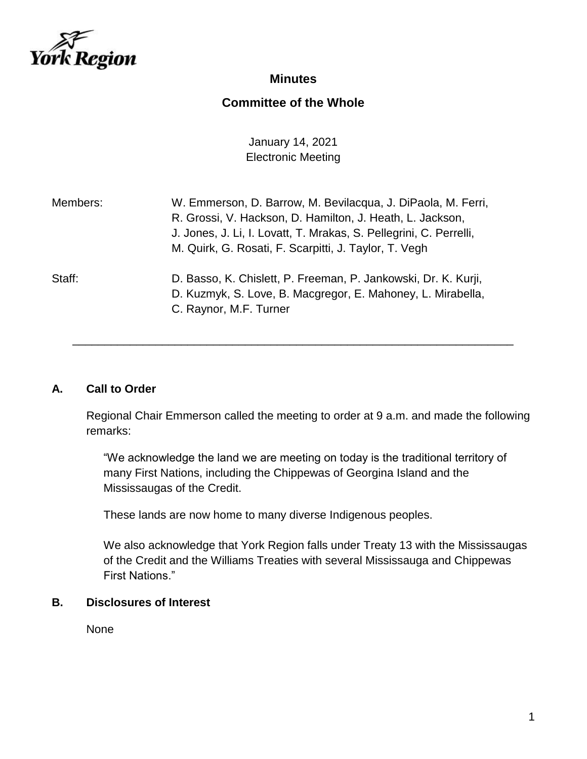

## **Minutes**

# **Committee of the Whole**

January 14, 2021 Electronic Meeting

| Members: | W. Emmerson, D. Barrow, M. Bevilacqua, J. DiPaola, M. Ferri,<br>R. Grossi, V. Hackson, D. Hamilton, J. Heath, L. Jackson,<br>J. Jones, J. Li, I. Lovatt, T. Mrakas, S. Pellegrini, C. Perrelli,<br>M. Quirk, G. Rosati, F. Scarpitti, J. Taylor, T. Vegh |
|----------|----------------------------------------------------------------------------------------------------------------------------------------------------------------------------------------------------------------------------------------------------------|
| Staff:   | D. Basso, K. Chislett, P. Freeman, P. Jankowski, Dr. K. Kurji,<br>D. Kuzmyk, S. Love, B. Macgregor, E. Mahoney, L. Mirabella,<br>C. Raynor, M.F. Turner                                                                                                  |

#### **A. Call to Order**

Regional Chair Emmerson called the meeting to order at 9 a.m. and made the following remarks:

\_\_\_\_\_\_\_\_\_\_\_\_\_\_\_\_\_\_\_\_\_\_\_\_\_\_\_\_\_\_\_\_\_\_\_\_\_\_\_\_\_\_\_\_\_\_\_\_\_\_\_\_\_\_\_\_\_\_\_\_\_\_\_\_\_\_\_\_\_

"We acknowledge the land we are meeting on today is the traditional territory of many First Nations, including the Chippewas of Georgina Island and the Mississaugas of the Credit.

These lands are now home to many diverse Indigenous peoples.

We also acknowledge that York Region falls under Treaty 13 with the Mississaugas of the Credit and the Williams Treaties with several Mississauga and Chippewas First Nations."

# **B. Disclosures of Interest**

None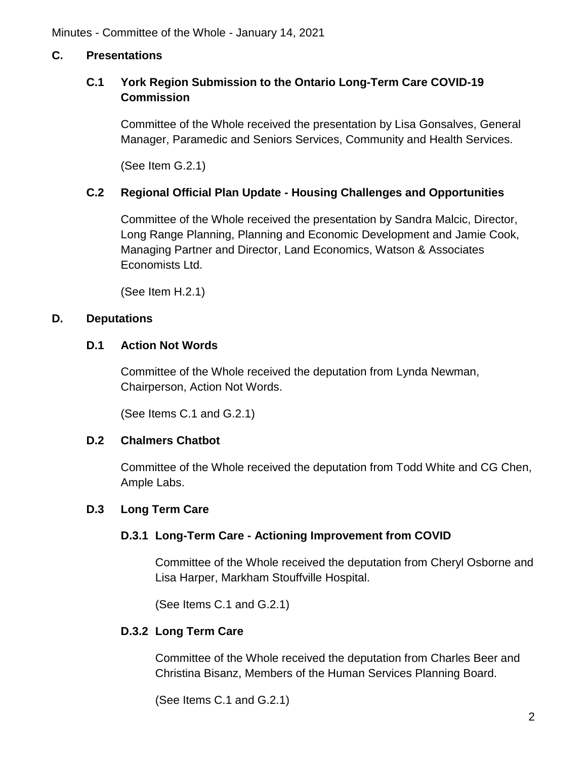### **C. Presentations**

### **C.1 York Region Submission to the Ontario Long-Term Care COVID-19 Commission**

Committee of the Whole received the presentation by Lisa Gonsalves, General Manager, Paramedic and Seniors Services, Community and Health Services.

(See Item G.2.1)

### **C.2 Regional Official Plan Update - Housing Challenges and Opportunities**

Committee of the Whole received the presentation by Sandra Malcic, Director, Long Range Planning, Planning and Economic Development and Jamie Cook, Managing Partner and Director, Land Economics, Watson & Associates Economists Ltd.

(See Item H.2.1)

#### **D. Deputations**

### **D.1 Action Not Words**

Committee of the Whole received the deputation from Lynda Newman, Chairperson, Action Not Words.

(See Items C.1 and G.2.1)

#### **D.2 Chalmers Chatbot**

Committee of the Whole received the deputation from Todd White and CG Chen, Ample Labs.

#### **D.3 Long Term Care**

### **D.3.1 Long-Term Care - Actioning Improvement from COVID**

Committee of the Whole received the deputation from Cheryl Osborne and Lisa Harper, Markham Stouffville Hospital.

(See Items C.1 and G.2.1)

#### **D.3.2 Long Term Care**

Committee of the Whole received the deputation from Charles Beer and Christina Bisanz, Members of the Human Services Planning Board.

(See Items C.1 and G.2.1)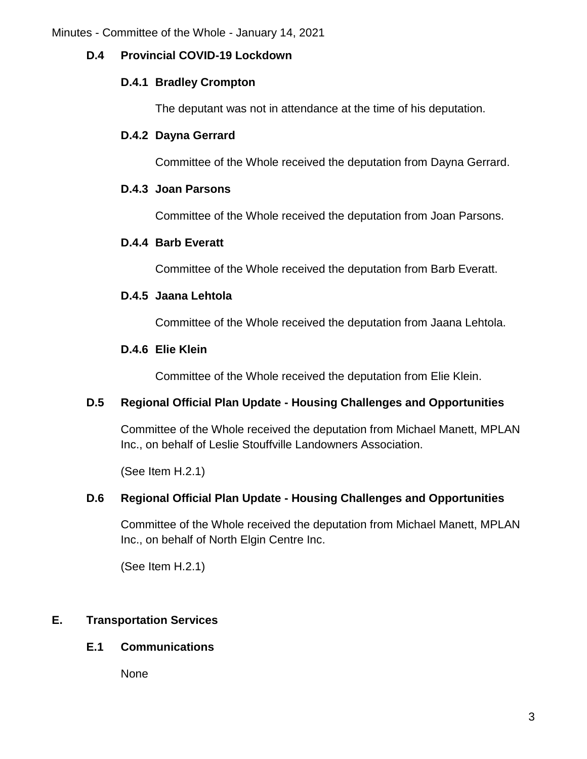### **D.4 Provincial COVID-19 Lockdown**

#### **D.4.1 Bradley Crompton**

The deputant was not in attendance at the time of his deputation.

### **D.4.2 Dayna Gerrard**

Committee of the Whole received the deputation from Dayna Gerrard.

### **D.4.3 Joan Parsons**

Committee of the Whole received the deputation from Joan Parsons.

### **D.4.4 Barb Everatt**

Committee of the Whole received the deputation from Barb Everatt.

### **D.4.5 Jaana Lehtola**

Committee of the Whole received the deputation from Jaana Lehtola.

### **D.4.6 Elie Klein**

Committee of the Whole received the deputation from Elie Klein.

### **D.5 Regional Official Plan Update - Housing Challenges and Opportunities**

Committee of the Whole received the deputation from Michael Manett, MPLAN Inc., on behalf of Leslie Stouffville Landowners Association.

(See Item H.2.1)

### **D.6 Regional Official Plan Update - Housing Challenges and Opportunities**

Committee of the Whole received the deputation from Michael Manett, MPLAN Inc., on behalf of North Elgin Centre Inc.

(See Item H.2.1)

### **E. Transportation Services**

### **E.1 Communications**

None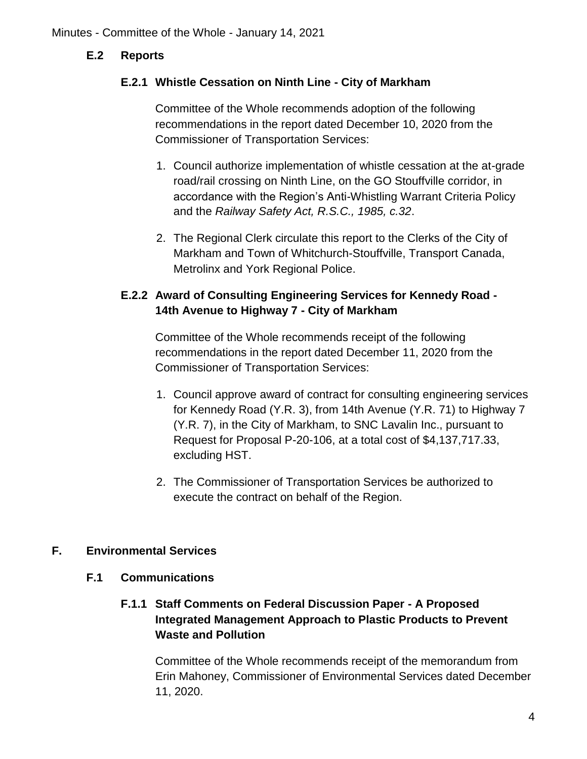### **E.2 Reports**

### **E.2.1 Whistle Cessation on Ninth Line - City of Markham**

Committee of the Whole recommends adoption of the following recommendations in the report dated December 10, 2020 from the Commissioner of Transportation Services:

- 1. Council authorize implementation of whistle cessation at the at-grade road/rail crossing on Ninth Line, on the GO Stouffville corridor, in accordance with the Region's Anti-Whistling Warrant Criteria Policy and the *Railway Safety Act, R.S.C., 1985, c.32*.
- 2. The Regional Clerk circulate this report to the Clerks of the City of Markham and Town of Whitchurch-Stouffville, Transport Canada, Metrolinx and York Regional Police.

## **E.2.2 Award of Consulting Engineering Services for Kennedy Road - 14th Avenue to Highway 7 - City of Markham**

Committee of the Whole recommends receipt of the following recommendations in the report dated December 11, 2020 from the Commissioner of Transportation Services:

- 1. Council approve award of contract for consulting engineering services for Kennedy Road (Y.R. 3), from 14th Avenue (Y.R. 71) to Highway 7 (Y.R. 7), in the City of Markham, to SNC Lavalin Inc., pursuant to Request for Proposal P-20-106, at a total cost of \$4,137,717.33, excluding HST.
- 2. The Commissioner of Transportation Services be authorized to execute the contract on behalf of the Region.

### **F. Environmental Services**

### **F.1 Communications**

## **F.1.1 Staff Comments on Federal Discussion Paper - A Proposed Integrated Management Approach to Plastic Products to Prevent Waste and Pollution**

Committee of the Whole recommends receipt of the memorandum from Erin Mahoney, Commissioner of Environmental Services dated December 11, 2020.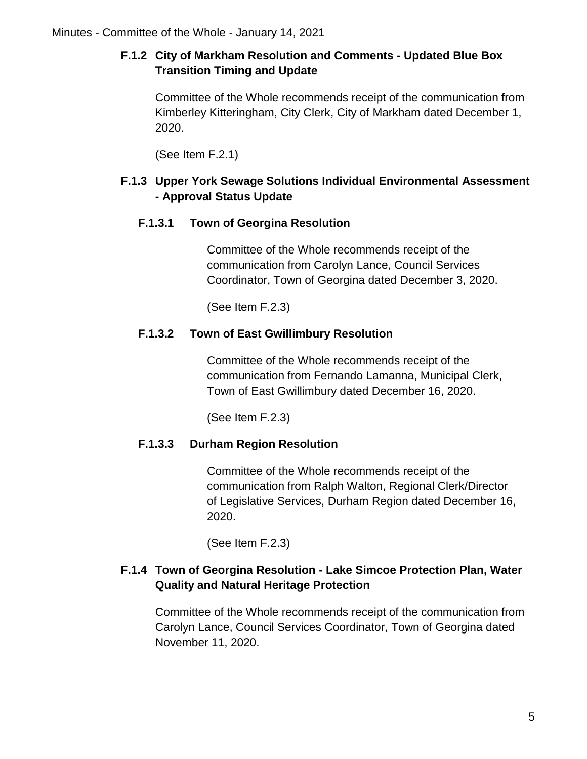# **F.1.2 City of Markham Resolution and Comments - Updated Blue Box Transition Timing and Update**

Committee of the Whole recommends receipt of the communication from Kimberley Kitteringham, City Clerk, City of Markham dated December 1, 2020.

(See Item F.2.1)

# **F.1.3 Upper York Sewage Solutions Individual Environmental Assessment - Approval Status Update**

# **F.1.3.1 Town of Georgina Resolution**

Committee of the Whole recommends receipt of the communication from Carolyn Lance, Council Services Coordinator, Town of Georgina dated December 3, 2020.

(See Item F.2.3)

# **F.1.3.2 Town of East Gwillimbury Resolution**

Committee of the Whole recommends receipt of the communication from Fernando Lamanna, Municipal Clerk, Town of East Gwillimbury dated December 16, 2020.

(See Item F.2.3)

# **F.1.3.3 Durham Region Resolution**

Committee of the Whole recommends receipt of the communication from Ralph Walton, Regional Clerk/Director of Legislative Services, Durham Region dated December 16, 2020.

(See Item F.2.3)

# **F.1.4 Town of Georgina Resolution - Lake Simcoe Protection Plan, Water Quality and Natural Heritage Protection**

Committee of the Whole recommends receipt of the communication from Carolyn Lance, Council Services Coordinator, Town of Georgina dated November 11, 2020.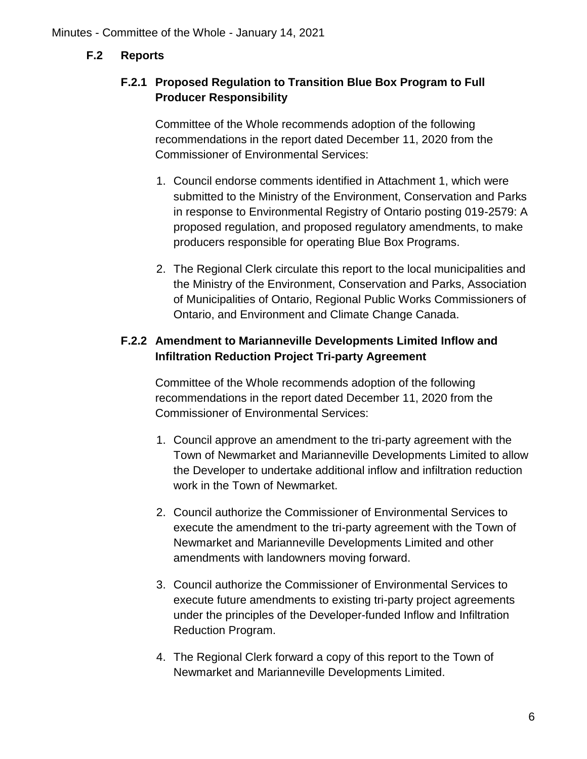### **F.2 Reports**

## **F.2.1 Proposed Regulation to Transition Blue Box Program to Full Producer Responsibility**

Committee of the Whole recommends adoption of the following recommendations in the report dated December 11, 2020 from the Commissioner of Environmental Services:

- 1. Council endorse comments identified in Attachment 1, which were submitted to the Ministry of the Environment, Conservation and Parks in response to Environmental Registry of Ontario posting 019-2579: A proposed regulation, and proposed regulatory amendments, to make producers responsible for operating Blue Box Programs.
- 2. The Regional Clerk circulate this report to the local municipalities and the Ministry of the Environment, Conservation and Parks, Association of Municipalities of Ontario, Regional Public Works Commissioners of Ontario, and Environment and Climate Change Canada.

## **F.2.2 Amendment to Marianneville Developments Limited Inflow and Infiltration Reduction Project Tri-party Agreement**

Committee of the Whole recommends adoption of the following recommendations in the report dated December 11, 2020 from the Commissioner of Environmental Services:

- 1. Council approve an amendment to the tri-party agreement with the Town of Newmarket and Marianneville Developments Limited to allow the Developer to undertake additional inflow and infiltration reduction work in the Town of Newmarket.
- 2. Council authorize the Commissioner of Environmental Services to execute the amendment to the tri-party agreement with the Town of Newmarket and Marianneville Developments Limited and other amendments with landowners moving forward.
- 3. Council authorize the Commissioner of Environmental Services to execute future amendments to existing tri-party project agreements under the principles of the Developer-funded Inflow and Infiltration Reduction Program.
- 4. The Regional Clerk forward a copy of this report to the Town of Newmarket and Marianneville Developments Limited.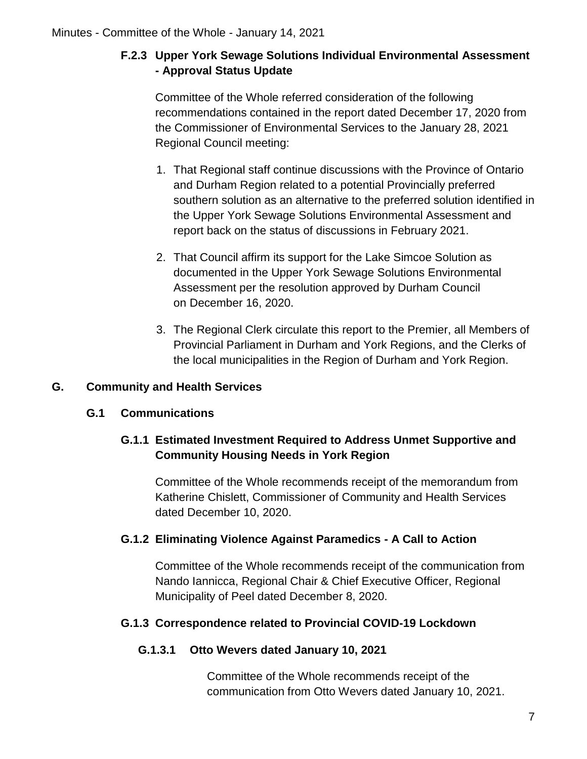# **F.2.3 Upper York Sewage Solutions Individual Environmental Assessment - Approval Status Update**

Committee of the Whole referred consideration of the following recommendations contained in the report dated December 17, 2020 from the Commissioner of Environmental Services to the January 28, 2021 Regional Council meeting:

- 1. That Regional staff continue discussions with the Province of Ontario and Durham Region related to a potential Provincially preferred southern solution as an alternative to the preferred solution identified in the Upper York Sewage Solutions Environmental Assessment and report back on the status of discussions in February 2021.
- 2. That Council affirm its support for the Lake Simcoe Solution as documented in the Upper York Sewage Solutions Environmental Assessment per the resolution approved by Durham Council on December 16, 2020.
- 3. The Regional Clerk circulate this report to the Premier, all Members of Provincial Parliament in Durham and York Regions, and the Clerks of the local municipalities in the Region of Durham and York Region.

# **G. Community and Health Services**

# **G.1 Communications**

# **G.1.1 Estimated Investment Required to Address Unmet Supportive and Community Housing Needs in York Region**

Committee of the Whole recommends receipt of the memorandum from Katherine Chislett, Commissioner of Community and Health Services dated December 10, 2020.

### **G.1.2 Eliminating Violence Against Paramedics - A Call to Action**

Committee of the Whole recommends receipt of the communication from Nando Iannicca, Regional Chair & Chief Executive Officer, Regional Municipality of Peel dated December 8, 2020.

### **G.1.3 Correspondence related to Provincial COVID-19 Lockdown**

### **G.1.3.1 Otto Wevers dated January 10, 2021**

Committee of the Whole recommends receipt of the communication from Otto Wevers dated January 10, 2021.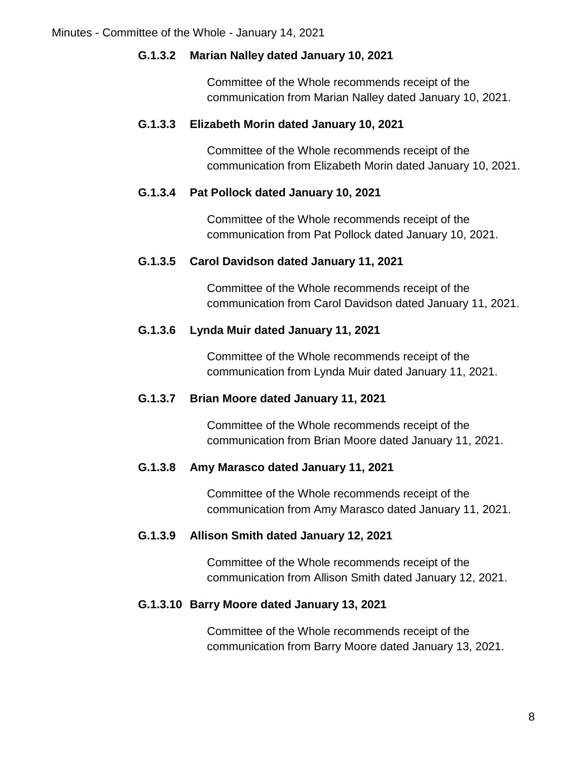### **G.1.3.2 Marian Nalley dated January 10, 2021**

Committee of the Whole recommends receipt of the communication from Marian Nalley dated January 10, 2021.

### **G.1.3.3 Elizabeth Morin dated January 10, 2021**

Committee of the Whole recommends receipt of the communication from Elizabeth Morin dated January 10, 2021.

#### **G.1.3.4 Pat Pollock dated January 10, 2021**

Committee of the Whole recommends receipt of the communication from Pat Pollock dated January 10, 2021.

### **G.1.3.5 Carol Davidson dated January 11, 2021**

Committee of the Whole recommends receipt of the communication from Carol Davidson dated January 11, 2021.

### **G.1.3.6 Lynda Muir dated January 11, 2021**

Committee of the Whole recommends receipt of the communication from Lynda Muir dated January 11, 2021.

#### **G.1.3.7 Brian Moore dated January 11, 2021**

Committee of the Whole recommends receipt of the communication from Brian Moore dated January 11, 2021.

#### **G.1.3.8 Amy Marasco dated January 11, 2021**

Committee of the Whole recommends receipt of the communication from Amy Marasco dated January 11, 2021.

#### **G.1.3.9 Allison Smith dated January 12, 2021**

Committee of the Whole recommends receipt of the communication from Allison Smith dated January 12, 2021.

#### **G.1.3.10 Barry Moore dated January 13, 2021**

Committee of the Whole recommends receipt of the communication from Barry Moore dated January 13, 2021.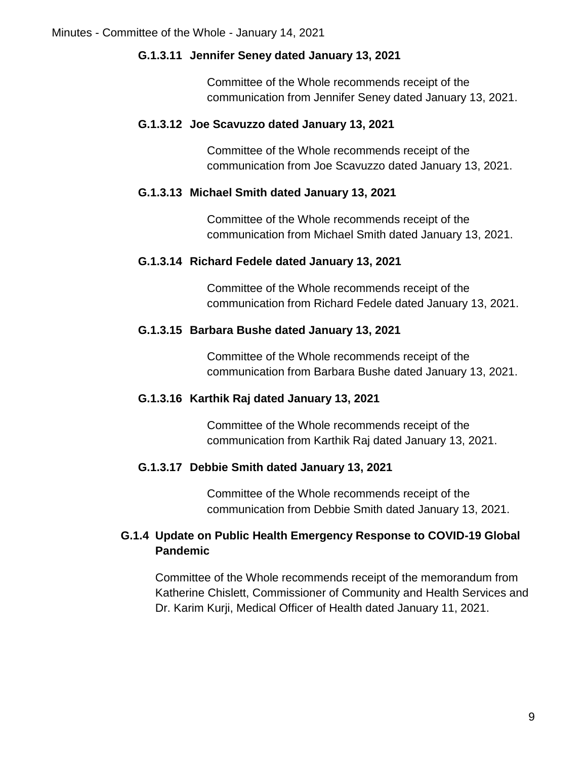### **G.1.3.11 Jennifer Seney dated January 13, 2021**

Committee of the Whole recommends receipt of the communication from Jennifer Seney dated January 13, 2021.

### **G.1.3.12 Joe Scavuzzo dated January 13, 2021**

Committee of the Whole recommends receipt of the communication from Joe Scavuzzo dated January 13, 2021.

#### **G.1.3.13 Michael Smith dated January 13, 2021**

Committee of the Whole recommends receipt of the communication from Michael Smith dated January 13, 2021.

### **G.1.3.14 Richard Fedele dated January 13, 2021**

Committee of the Whole recommends receipt of the communication from Richard Fedele dated January 13, 2021.

### **G.1.3.15 Barbara Bushe dated January 13, 2021**

Committee of the Whole recommends receipt of the communication from Barbara Bushe dated January 13, 2021.

### **G.1.3.16 Karthik Raj dated January 13, 2021**

Committee of the Whole recommends receipt of the communication from Karthik Raj dated January 13, 2021.

#### **G.1.3.17 Debbie Smith dated January 13, 2021**

Committee of the Whole recommends receipt of the communication from Debbie Smith dated January 13, 2021.

## **G.1.4 Update on Public Health Emergency Response to COVID-19 Global Pandemic**

Committee of the Whole recommends receipt of the memorandum from Katherine Chislett, Commissioner of Community and Health Services and Dr. Karim Kurji, Medical Officer of Health dated January 11, 2021.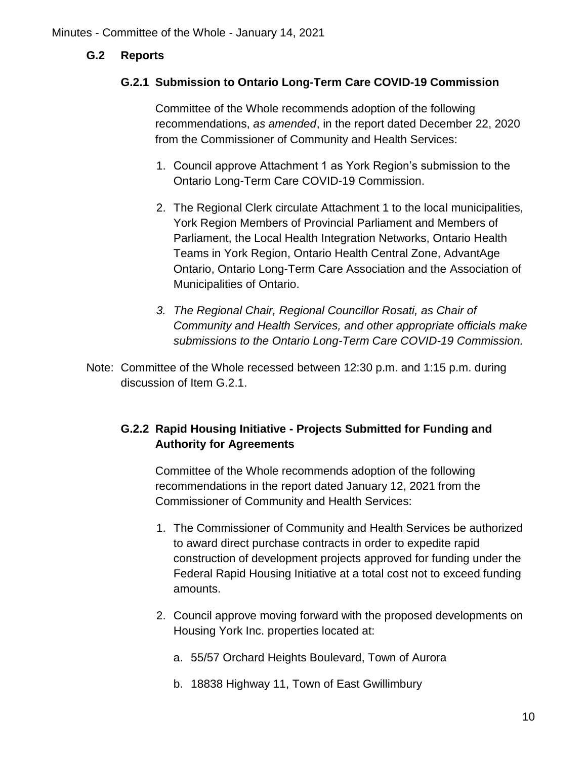### **G.2 Reports**

### **G.2.1 Submission to Ontario Long-Term Care COVID-19 Commission**

Committee of the Whole recommends adoption of the following recommendations, *as amended*, in the report dated December 22, 2020 from the Commissioner of Community and Health Services:

- 1. Council approve Attachment 1 as York Region's submission to the Ontario Long-Term Care COVID-19 Commission.
- 2. The Regional Clerk circulate Attachment 1 to the local municipalities, York Region Members of Provincial Parliament and Members of Parliament, the Local Health Integration Networks, Ontario Health Teams in York Region, Ontario Health Central Zone, AdvantAge Ontario, Ontario Long-Term Care Association and the Association of Municipalities of Ontario.
- *3. The Regional Chair, Regional Councillor Rosati, as Chair of Community and Health Services, and other appropriate officials make submissions to the Ontario Long-Term Care COVID-19 Commission.*
- Note: Committee of the Whole recessed between 12:30 p.m. and 1:15 p.m. during discussion of Item G.2.1.

# **G.2.2 Rapid Housing Initiative - Projects Submitted for Funding and Authority for Agreements**

Committee of the Whole recommends adoption of the following recommendations in the report dated January 12, 2021 from the Commissioner of Community and Health Services:

- 1. The Commissioner of Community and Health Services be authorized to award direct purchase contracts in order to expedite rapid construction of development projects approved for funding under the Federal Rapid Housing Initiative at a total cost not to exceed funding amounts.
- 2. Council approve moving forward with the proposed developments on Housing York Inc. properties located at:
	- a. 55/57 Orchard Heights Boulevard, Town of Aurora
	- b. 18838 Highway 11, Town of East Gwillimbury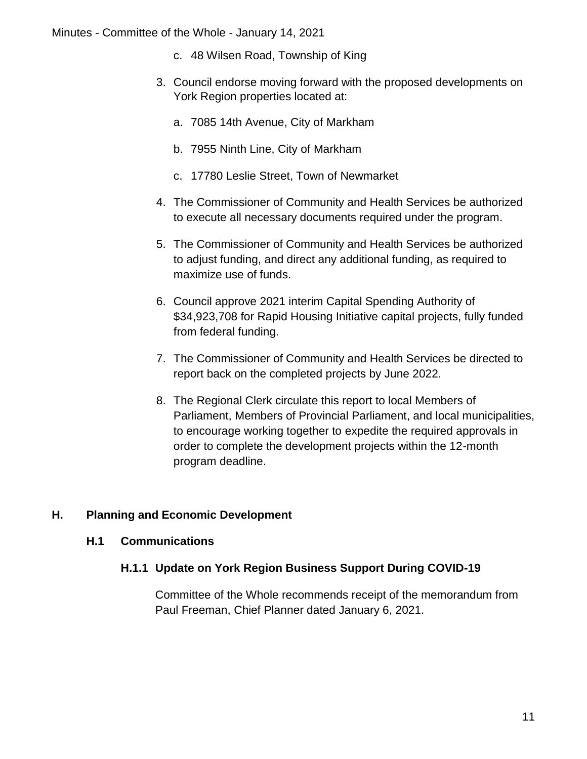Minutes - Committee of the Whole - January 14, 2021

- c. 48 Wilsen Road, Township of King
- 3. Council endorse moving forward with the proposed developments on York Region properties located at:
	- a. 7085 14th Avenue, City of Markham
	- b. 7955 Ninth Line, City of Markham
	- c. 17780 Leslie Street, Town of Newmarket
- 4. The Commissioner of Community and Health Services be authorized to execute all necessary documents required under the program.
- 5. The Commissioner of Community and Health Services be authorized to adjust funding, and direct any additional funding, as required to maximize use of funds.
- 6. Council approve 2021 interim Capital Spending Authority of \$34,923,708 for Rapid Housing Initiative capital projects, fully funded from federal funding.
- 7. The Commissioner of Community and Health Services be directed to report back on the completed projects by June 2022.
- 8. The Regional Clerk circulate this report to local Members of Parliament, Members of Provincial Parliament, and local municipalities, to encourage working together to expedite the required approvals in order to complete the development projects within the 12-month program deadline.

### **H. Planning and Economic Development**

#### **H.1 Communications**

### **H.1.1 Update on York Region Business Support During COVID-19**

Committee of the Whole recommends receipt of the memorandum from Paul Freeman, Chief Planner dated January 6, 2021.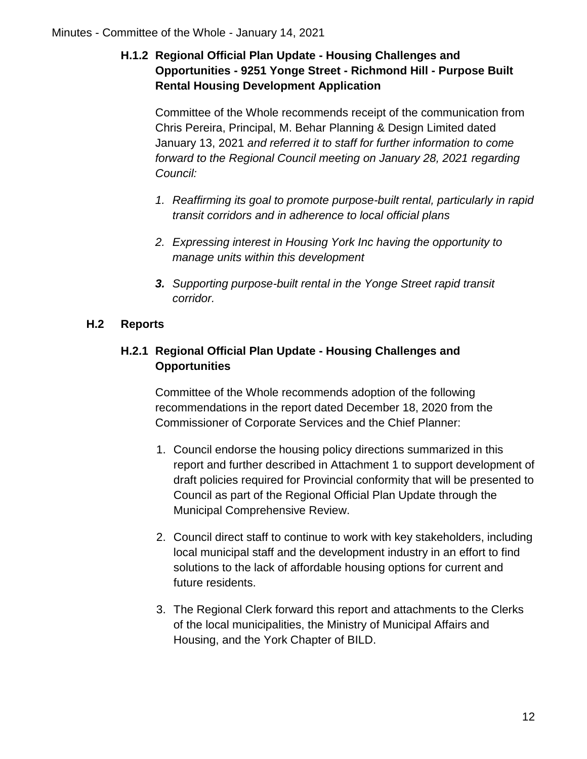# **H.1.2 Regional Official Plan Update - Housing Challenges and Opportunities - 9251 Yonge Street - Richmond Hill - Purpose Built Rental Housing Development Application**

Committee of the Whole recommends receipt of the communication from Chris Pereira, Principal, M. Behar Planning & Design Limited dated January 13, 2021 *and referred it to staff for further information to come forward to the Regional Council meeting on January 28, 2021 regarding Council:*

- *1. Reaffirming its goal to promote purpose-built rental, particularly in rapid transit corridors and in adherence to local official plans*
- *2. Expressing interest in Housing York Inc having the opportunity to manage units within this development*
- *3. Supporting purpose-built rental in the Yonge Street rapid transit corridor.*

# **H.2 Reports**

# **H.2.1 Regional Official Plan Update - Housing Challenges and Opportunities**

Committee of the Whole recommends adoption of the following recommendations in the report dated December 18, 2020 from the Commissioner of Corporate Services and the Chief Planner:

- 1. Council endorse the housing policy directions summarized in this report and further described in Attachment 1 to support development of draft policies required for Provincial conformity that will be presented to Council as part of the Regional Official Plan Update through the Municipal Comprehensive Review.
- 2. Council direct staff to continue to work with key stakeholders, including local municipal staff and the development industry in an effort to find solutions to the lack of affordable housing options for current and future residents.
- 3. The Regional Clerk forward this report and attachments to the Clerks of the local municipalities, the Ministry of Municipal Affairs and Housing, and the York Chapter of BILD.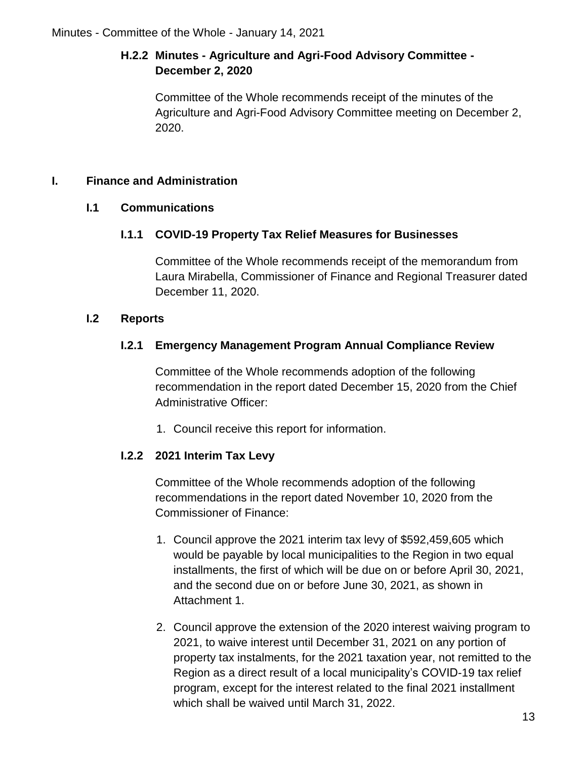# **H.2.2 Minutes - Agriculture and Agri-Food Advisory Committee - December 2, 2020**

Committee of the Whole recommends receipt of the minutes of the Agriculture and Agri-Food Advisory Committee meeting on December 2, 2020.

# **I. Finance and Administration**

# **I.1 Communications**

# **I.1.1 COVID-19 Property Tax Relief Measures for Businesses**

Committee of the Whole recommends receipt of the memorandum from Laura Mirabella, Commissioner of Finance and Regional Treasurer dated December 11, 2020.

# **I.2 Reports**

# **I.2.1 Emergency Management Program Annual Compliance Review**

Committee of the Whole recommends adoption of the following recommendation in the report dated December 15, 2020 from the Chief Administrative Officer:

1. Council receive this report for information.

# **I.2.2 2021 Interim Tax Levy**

Committee of the Whole recommends adoption of the following recommendations in the report dated November 10, 2020 from the Commissioner of Finance:

- 1. Council approve the 2021 interim tax levy of \$592,459,605 which would be payable by local municipalities to the Region in two equal installments, the first of which will be due on or before April 30, 2021, and the second due on or before June 30, 2021, as shown in Attachment 1.
- 2. Council approve the extension of the 2020 interest waiving program to 2021, to waive interest until December 31, 2021 on any portion of property tax instalments, for the 2021 taxation year, not remitted to the Region as a direct result of a local municipality's COVID-19 tax relief program, except for the interest related to the final 2021 installment which shall be waived until March 31, 2022.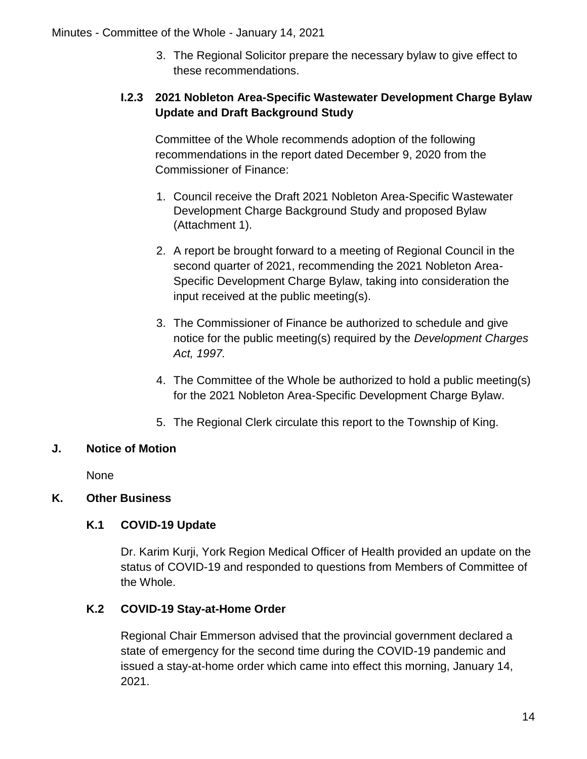3. The Regional Solicitor prepare the necessary bylaw to give effect to these recommendations.

# **I.2.3 2021 Nobleton Area-Specific Wastewater Development Charge Bylaw Update and Draft Background Study**

Committee of the Whole recommends adoption of the following recommendations in the report dated December 9, 2020 from the Commissioner of Finance:

- 1. Council receive the Draft 2021 Nobleton Area-Specific Wastewater Development Charge Background Study and proposed Bylaw (Attachment 1).
- 2. A report be brought forward to a meeting of Regional Council in the second quarter of 2021, recommending the 2021 Nobleton Area-Specific Development Charge Bylaw, taking into consideration the input received at the public meeting(s).
- 3. The Commissioner of Finance be authorized to schedule and give notice for the public meeting(s) required by the *Development Charges Act, 1997.*
- 4. The Committee of the Whole be authorized to hold a public meeting(s) for the 2021 Nobleton Area-Specific Development Charge Bylaw.
- 5. The Regional Clerk circulate this report to the Township of King.

# **J. Notice of Motion**

None

# **K. Other Business**

# **K.1 COVID-19 Update**

Dr. Karim Kurji, York Region Medical Officer of Health provided an update on the status of COVID-19 and responded to questions from Members of Committee of the Whole.

# **K.2 COVID-19 Stay-at-Home Order**

Regional Chair Emmerson advised that the provincial government declared a state of emergency for the second time during the COVID-19 pandemic and issued a stay-at-home order which came into effect this morning, January 14, 2021.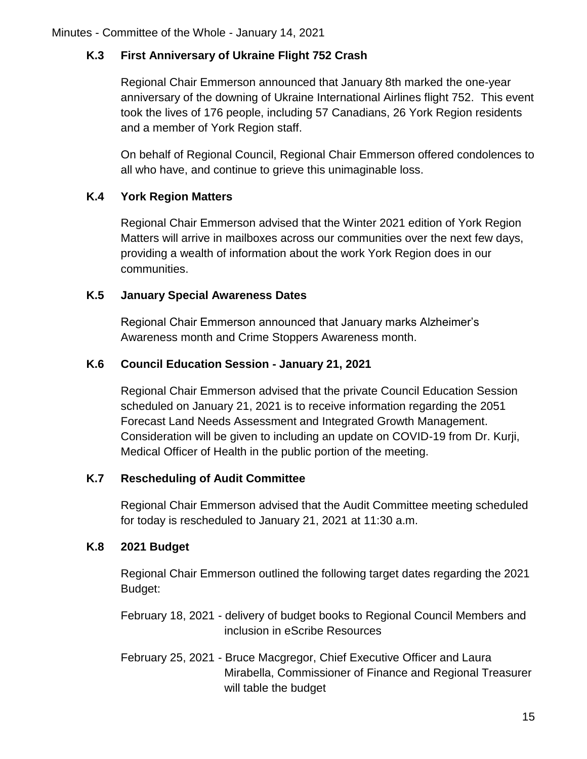# **K.3 First Anniversary of Ukraine Flight 752 Crash**

Regional Chair Emmerson announced that January 8th marked the one-year anniversary of the downing of Ukraine International Airlines flight 752. This event took the lives of 176 people, including 57 Canadians, 26 York Region residents and a member of York Region staff.

On behalf of Regional Council, Regional Chair Emmerson offered condolences to all who have, and continue to grieve this unimaginable loss.

## **K.4 York Region Matters**

Regional Chair Emmerson advised that the Winter 2021 edition of York Region Matters will arrive in mailboxes across our communities over the next few days, providing a wealth of information about the work York Region does in our communities.

## **K.5 January Special Awareness Dates**

Regional Chair Emmerson announced that January marks Alzheimer's Awareness month and Crime Stoppers Awareness month.

## **K.6 Council Education Session - January 21, 2021**

Regional Chair Emmerson advised that the private Council Education Session scheduled on January 21, 2021 is to receive information regarding the 2051 Forecast Land Needs Assessment and Integrated Growth Management. Consideration will be given to including an update on COVID-19 from Dr. Kurji, Medical Officer of Health in the public portion of the meeting.

### **K.7 Rescheduling of Audit Committee**

Regional Chair Emmerson advised that the Audit Committee meeting scheduled for today is rescheduled to January 21, 2021 at 11:30 a.m.

# **K.8 2021 Budget**

Regional Chair Emmerson outlined the following target dates regarding the 2021 Budget:

February 18, 2021 - delivery of budget books to Regional Council Members and inclusion in eScribe Resources

February 25, 2021 - Bruce Macgregor, Chief Executive Officer and Laura Mirabella, Commissioner of Finance and Regional Treasurer will table the budget